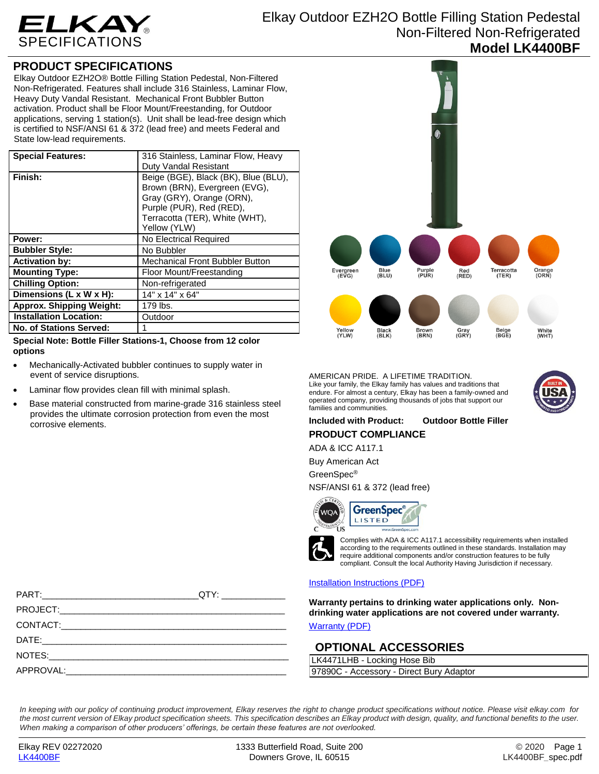

# Elkay Outdoor EZH2O Bottle Filling Station Pedestal Non-Filtered Non-Refrigerated **Model LK4400BF**

## **PRODUCT SPECIFICATIONS**

Elkay Outdoor EZH2O® Bottle Filling Station Pedestal, Non-Filtered Non-Refrigerated. Features shall include 316 Stainless, Laminar Flow, Heavy Duty Vandal Resistant. Mechanical Front Bubbler Button activation. Product shall be Floor Mount/Freestanding, for Outdoor applications, serving 1 station(s). Unit shall be lead-free design which is certified to NSF/ANSI 61 & 372 (lead free) and meets Federal and State low-lead requirements.

| <b>Special Features:</b>        | 316 Stainless, Laminar Flow, Heavy                                                                                                                                               |
|---------------------------------|----------------------------------------------------------------------------------------------------------------------------------------------------------------------------------|
|                                 | Duty Vandal Resistant                                                                                                                                                            |
| Finish:                         | Beige (BGE), Black (BK), Blue (BLU),<br>Brown (BRN), Evergreen (EVG),<br>Gray (GRY), Orange (ORN),<br>Purple (PUR), Red (RED),<br>Terracotta (TER), White (WHT),<br>Yellow (YLW) |
| Power:                          | No Electrical Required                                                                                                                                                           |
| <b>Bubbler Style:</b>           | No Bubbler                                                                                                                                                                       |
| <b>Activation by:</b>           | <b>Mechanical Front Bubbler Button</b>                                                                                                                                           |
| <b>Mounting Type:</b>           | Floor Mount/Freestanding                                                                                                                                                         |
| <b>Chilling Option:</b>         | Non-refrigerated                                                                                                                                                                 |
| Dimensions (L x W x H):         | 14" x 14" x 64"                                                                                                                                                                  |
| <b>Approx. Shipping Weight:</b> | 179 lbs.                                                                                                                                                                         |
| <b>Installation Location:</b>   | Outdoor                                                                                                                                                                          |
| <b>No. of Stations Served:</b>  |                                                                                                                                                                                  |

**Special Note: Bottle Filler Stations-1, Choose from 12 color options**

- Mechanically-Activated bubbler continues to supply water in event of service disruptions.
- Laminar flow provides clean fill with minimal splash.
- Base material constructed from marine-grade 316 stainless steel provides the ultimate corrosion protection from even the most corrosive elements.



AMERICAN PRIDE. A LIFETIME TRADITION. Like your family, the Elkay family has values and traditions that endure. For almost a century, Elkay has been a family-owned and operated company, providing thousands of jobs that support our families and communities.



### **Included with Product: Outdoor Bottle Filler**

**PRODUCT COMPLIANCE**

ADA & ICC A117.1

Buy American Act

GreenSpec®

NSF/ANSI 61 & 372 (lead free)



Complies with ADA & ICC A117.1 accessibility requirements when installed according to the requirements outlined in these standards. Installation may require additional components and/or construction features to be fully compliant. Consult the local Authority Having Jurisdiction if necessary.

#### [Installation Instructions \(PDF\)](http://www.elkayfiles.com/care-cleaning-install-warranty-sheets/1000003952.pdf)

**Warranty pertains to drinking water applications only. Nondrinking water applications are not covered under warranty.** [Warranty](http://www.elkayfiles.com/care-cleaning-install-warranty-sheets/96993c.pdf) (PDF)

### **OPTIONAL ACCESSORIES**

LK4471LHB - Locking Hose Bib 97890C - Accessory - Direct Bury Adaptor

*In keeping with our policy of continuing product improvement, Elkay reserves the right to change product specifications without notice. Please visit elkay.com for the most current version of Elkay product specification sheets. This specification describes an Elkay product with design, quality, and functional benefits to the user. When making a comparison of other producers' offerings, be certain these features are not overlooked.*